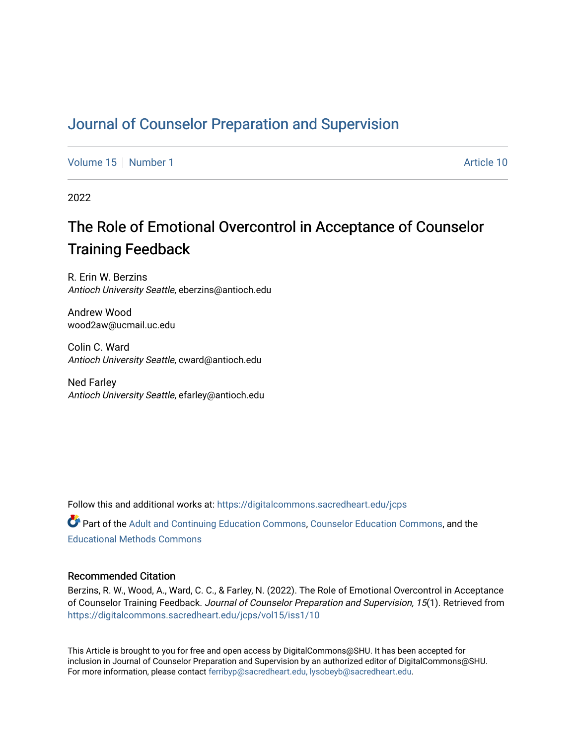# [Journal of Counselor Preparation and Supervision](https://digitalcommons.sacredheart.edu/jcps)

[Volume 15](https://digitalcommons.sacredheart.edu/jcps/vol15) [Number 1](https://digitalcommons.sacredheart.edu/jcps/vol15/iss1) Article 10

2022

# The Role of Emotional Overcontrol in Acceptance of Counselor Training Feedback

R. Erin W. Berzins Antioch University Seattle, eberzins@antioch.edu

Andrew Wood wood2aw@ucmail.uc.edu

Colin C. Ward Antioch University Seattle, cward@antioch.edu

Ned Farley Antioch University Seattle, efarley@antioch.edu

Follow this and additional works at: [https://digitalcommons.sacredheart.edu/jcps](https://digitalcommons.sacredheart.edu/jcps?utm_source=digitalcommons.sacredheart.edu%2Fjcps%2Fvol15%2Fiss1%2F10&utm_medium=PDF&utm_campaign=PDFCoverPages) 

Part of the [Adult and Continuing Education Commons,](http://network.bepress.com/hgg/discipline/1375?utm_source=digitalcommons.sacredheart.edu%2Fjcps%2Fvol15%2Fiss1%2F10&utm_medium=PDF&utm_campaign=PDFCoverPages) [Counselor Education Commons,](http://network.bepress.com/hgg/discipline/1278?utm_source=digitalcommons.sacredheart.edu%2Fjcps%2Fvol15%2Fiss1%2F10&utm_medium=PDF&utm_campaign=PDFCoverPages) and the [Educational Methods Commons](http://network.bepress.com/hgg/discipline/1227?utm_source=digitalcommons.sacredheart.edu%2Fjcps%2Fvol15%2Fiss1%2F10&utm_medium=PDF&utm_campaign=PDFCoverPages) 

#### Recommended Citation

Berzins, R. W., Wood, A., Ward, C. C., & Farley, N. (2022). The Role of Emotional Overcontrol in Acceptance of Counselor Training Feedback. Journal of Counselor Preparation and Supervision, 15(1). Retrieved from [https://digitalcommons.sacredheart.edu/jcps/vol15/iss1/10](https://digitalcommons.sacredheart.edu/jcps/vol15/iss1/10?utm_source=digitalcommons.sacredheart.edu%2Fjcps%2Fvol15%2Fiss1%2F10&utm_medium=PDF&utm_campaign=PDFCoverPages) 

This Article is brought to you for free and open access by DigitalCommons@SHU. It has been accepted for inclusion in Journal of Counselor Preparation and Supervision by an authorized editor of DigitalCommons@SHU. For more information, please contact [ferribyp@sacredheart.edu, lysobeyb@sacredheart.edu.](mailto:ferribyp@sacredheart.edu,%20lysobeyb@sacredheart.edu)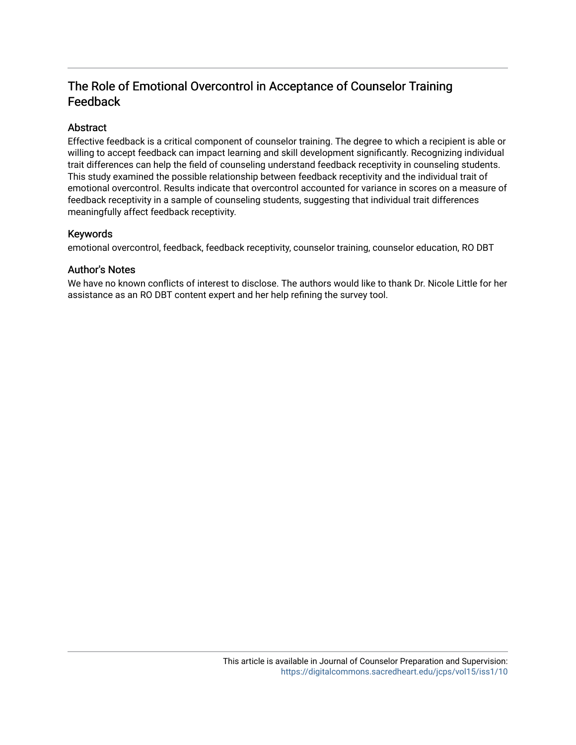# The Role of Emotional Overcontrol in Acceptance of Counselor Training Feedback

# Abstract

Effective feedback is a critical component of counselor training. The degree to which a recipient is able or willing to accept feedback can impact learning and skill development significantly. Recognizing individual trait differences can help the field of counseling understand feedback receptivity in counseling students. This study examined the possible relationship between feedback receptivity and the individual trait of emotional overcontrol. Results indicate that overcontrol accounted for variance in scores on a measure of feedback receptivity in a sample of counseling students, suggesting that individual trait differences meaningfully affect feedback receptivity.

# Keywords

emotional overcontrol, feedback, feedback receptivity, counselor training, counselor education, RO DBT

# Author's Notes

We have no known conflicts of interest to disclose. The authors would like to thank Dr. Nicole Little for her assistance as an RO DBT content expert and her help refining the survey tool.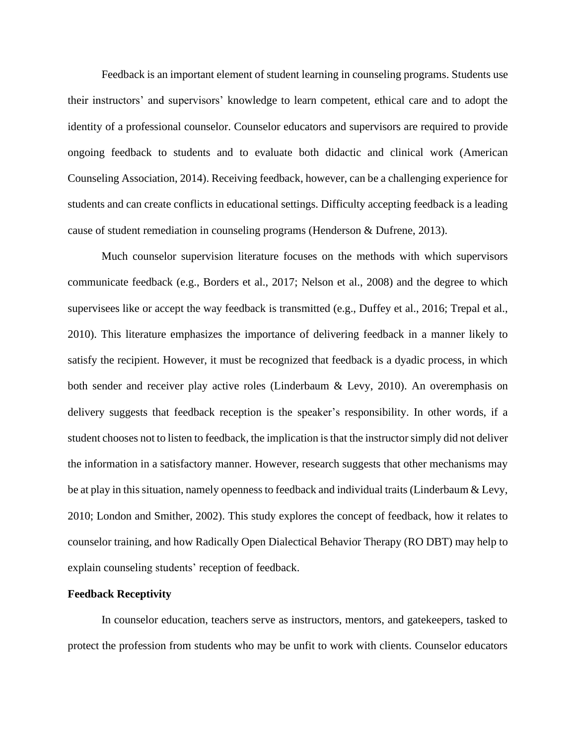Feedback is an important element of student learning in counseling programs. Students use their instructors' and supervisors' knowledge to learn competent, ethical care and to adopt the identity of a professional counselor. Counselor educators and supervisors are required to provide ongoing feedback to students and to evaluate both didactic and clinical work (American Counseling Association, 2014). Receiving feedback, however, can be a challenging experience for students and can create conflicts in educational settings. Difficulty accepting feedback is a leading cause of student remediation in counseling programs (Henderson & Dufrene, 2013).

Much counselor supervision literature focuses on the methods with which supervisors communicate feedback (e.g., Borders et al., 2017; Nelson et al., 2008) and the degree to which supervisees like or accept the way feedback is transmitted (e.g., Duffey et al., 2016; Trepal et al., 2010). This literature emphasizes the importance of delivering feedback in a manner likely to satisfy the recipient. However, it must be recognized that feedback is a dyadic process, in which both sender and receiver play active roles (Linderbaum & Levy, 2010). An overemphasis on delivery suggests that feedback reception is the speaker's responsibility. In other words, if a student chooses not to listen to feedback, the implication is that the instructor simply did not deliver the information in a satisfactory manner. However, research suggests that other mechanisms may be at play in this situation, namely opennessto feedback and individual traits (Linderbaum & Levy, 2010; London and Smither, 2002). This study explores the concept of feedback, how it relates to counselor training, and how Radically Open Dialectical Behavior Therapy (RO DBT) may help to explain counseling students' reception of feedback.

#### **Feedback Receptivity**

In counselor education, teachers serve as instructors, mentors, and gatekeepers, tasked to protect the profession from students who may be unfit to work with clients. Counselor educators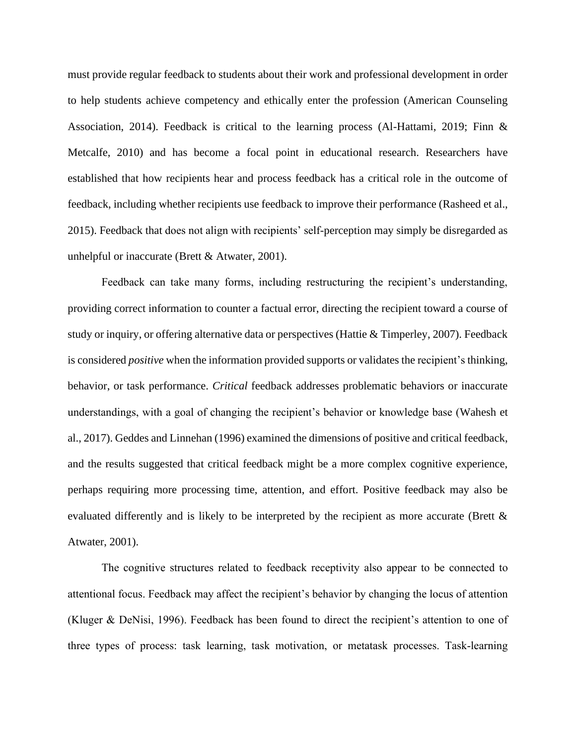must provide regular feedback to students about their work and professional development in order to help students achieve competency and ethically enter the profession (American Counseling Association, 2014). Feedback is critical to the learning process (Al-Hattami, 2019; Finn & Metcalfe, 2010) and has become a focal point in educational research. Researchers have established that how recipients hear and process feedback has a critical role in the outcome of feedback, including whether recipients use feedback to improve their performance (Rasheed et al., 2015). Feedback that does not align with recipients' self-perception may simply be disregarded as unhelpful or inaccurate (Brett & Atwater, 2001).

Feedback can take many forms, including restructuring the recipient's understanding, providing correct information to counter a factual error, directing the recipient toward a course of study or inquiry, or offering alternative data or perspectives (Hattie & Timperley, 2007). Feedback is considered *positive* when the information provided supports or validates the recipient's thinking, behavior, or task performance. *Critical* feedback addresses problematic behaviors or inaccurate understandings, with a goal of changing the recipient's behavior or knowledge base (Wahesh et al., 2017). Geddes and Linnehan (1996) examined the dimensions of positive and critical feedback, and the results suggested that critical feedback might be a more complex cognitive experience, perhaps requiring more processing time, attention, and effort. Positive feedback may also be evaluated differently and is likely to be interpreted by the recipient as more accurate (Brett & Atwater, 2001).

The cognitive structures related to feedback receptivity also appear to be connected to attentional focus. Feedback may affect the recipient's behavior by changing the locus of attention (Kluger & DeNisi, 1996). Feedback has been found to direct the recipient's attention to one of three types of process: task learning, task motivation, or metatask processes. Task-learning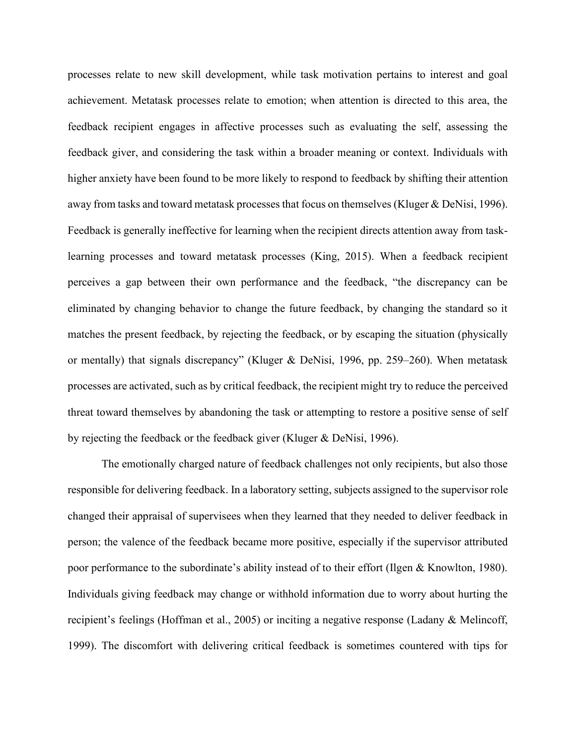processes relate to new skill development, while task motivation pertains to interest and goal achievement. Metatask processes relate to emotion; when attention is directed to this area, the feedback recipient engages in affective processes such as evaluating the self, assessing the feedback giver, and considering the task within a broader meaning or context. Individuals with higher anxiety have been found to be more likely to respond to feedback by shifting their attention away from tasks and toward metatask processes that focus on themselves (Kluger & DeNisi, 1996). Feedback is generally ineffective for learning when the recipient directs attention away from tasklearning processes and toward metatask processes (King, 2015). When a feedback recipient perceives a gap between their own performance and the feedback, "the discrepancy can be eliminated by changing behavior to change the future feedback, by changing the standard so it matches the present feedback, by rejecting the feedback, or by escaping the situation (physically or mentally) that signals discrepancy" (Kluger & DeNisi, 1996, pp. 259–260). When metatask processes are activated, such as by critical feedback, the recipient might try to reduce the perceived threat toward themselves by abandoning the task or attempting to restore a positive sense of self by rejecting the feedback or the feedback giver (Kluger & DeNisi, 1996).

The emotionally charged nature of feedback challenges not only recipients, but also those responsible for delivering feedback. In a laboratory setting, subjects assigned to the supervisor role changed their appraisal of supervisees when they learned that they needed to deliver feedback in person; the valence of the feedback became more positive, especially if the supervisor attributed poor performance to the subordinate's ability instead of to their effort (Ilgen & Knowlton, 1980). Individuals giving feedback may change or withhold information due to worry about hurting the recipient's feelings (Hoffman et al., 2005) or inciting a negative response (Ladany & Melincoff, 1999). The discomfort with delivering critical feedback is sometimes countered with tips for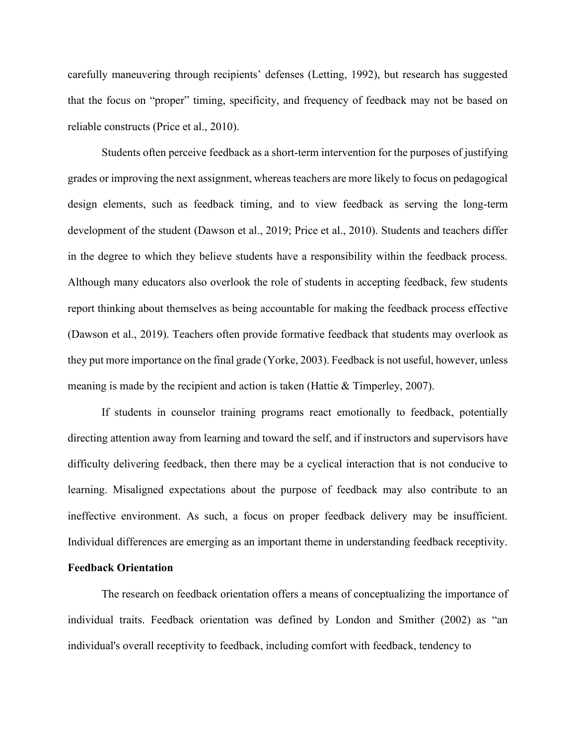carefully maneuvering through recipients' defenses (Letting, 1992), but research has suggested that the focus on "proper" timing, specificity, and frequency of feedback may not be based on reliable constructs (Price et al., 2010).

Students often perceive feedback as a short-term intervention for the purposes of justifying grades or improving the next assignment, whereas teachers are more likely to focus on pedagogical design elements, such as feedback timing, and to view feedback as serving the long-term development of the student (Dawson et al., 2019; Price et al., 2010). Students and teachers differ in the degree to which they believe students have a responsibility within the feedback process. Although many educators also overlook the role of students in accepting feedback, few students report thinking about themselves as being accountable for making the feedback process effective (Dawson et al., 2019). Teachers often provide formative feedback that students may overlook as they put more importance on the final grade (Yorke, 2003). Feedback is not useful, however, unless meaning is made by the recipient and action is taken (Hattie & Timperley, 2007).

If students in counselor training programs react emotionally to feedback, potentially directing attention away from learning and toward the self, and if instructors and supervisors have difficulty delivering feedback, then there may be a cyclical interaction that is not conducive to learning. Misaligned expectations about the purpose of feedback may also contribute to an ineffective environment. As such, a focus on proper feedback delivery may be insufficient. Individual differences are emerging as an important theme in understanding feedback receptivity.

# **Feedback Orientation**

The research on feedback orientation offers a means of conceptualizing the importance of individual traits. Feedback orientation was defined by London and Smither (2002) as "an individual's overall receptivity to feedback, including comfort with feedback, tendency to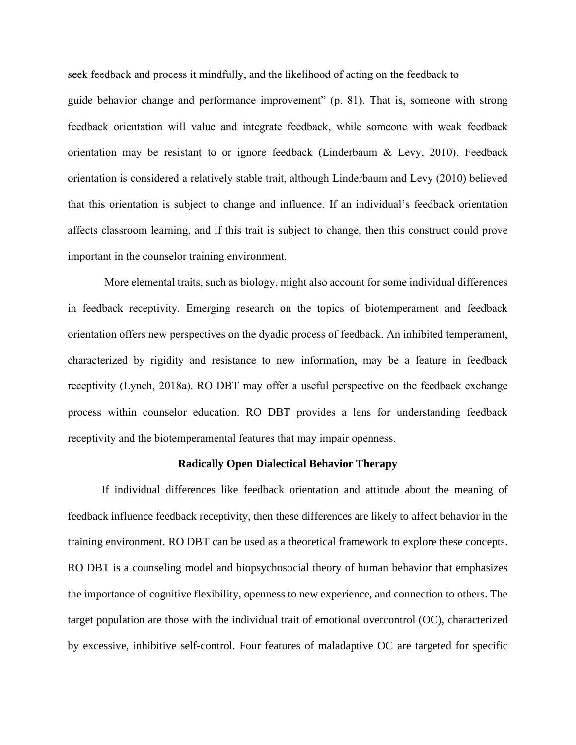seek feedback and process it mindfully, and the likelihood of acting on the feedback to

guide behavior change and performance improvement" (p. 81). That is, someone with strong feedback orientation will value and integrate feedback, while someone with weak feedback orientation may be resistant to or ignore feedback (Linderbaum & Levy, 2010). Feedback orientation is considered a relatively stable trait, although Linderbaum and Levy (2010) believed that this orientation is subject to change and influence. If an individual's feedback orientation affects classroom learning, and if this trait is subject to change, then this construct could prove important in the counselor training environment.

More elemental traits, such as biology, might also account for some individual differences in feedback receptivity. Emerging research on the topics of biotemperament and feedback orientation offers new perspectives on the dyadic process of feedback. An inhibited temperament, characterized by rigidity and resistance to new information, may be a feature in feedback receptivity (Lynch, 2018a). RO DBT may offer a useful perspective on the feedback exchange process within counselor education. RO DBT provides a lens for understanding feedback receptivity and the biotemperamental features that may impair openness.

#### **Radically Open Dialectical Behavior Therapy**

If individual differences like feedback orientation and attitude about the meaning of feedback influence feedback receptivity, then these differences are likely to affect behavior in the training environment. RO DBT can be used as a theoretical framework to explore these concepts. RO DBT is a counseling model and biopsychosocial theory of human behavior that emphasizes the importance of cognitive flexibility, openness to new experience, and connection to others. The target population are those with the individual trait of emotional overcontrol (OC), characterized by excessive, inhibitive self-control. Four features of maladaptive OC are targeted for specific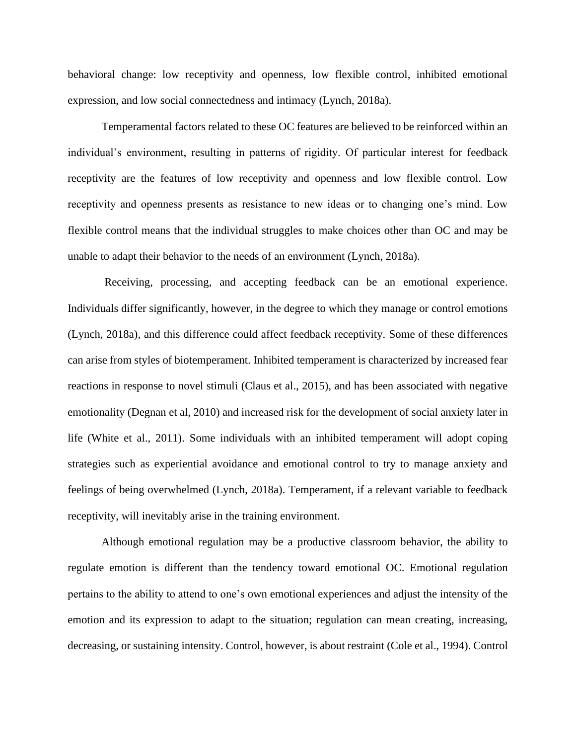behavioral change: low receptivity and openness, low flexible control, inhibited emotional expression, and low social connectedness and intimacy (Lynch, 2018a).

Temperamental factors related to these OC features are believed to be reinforced within an individual's environment, resulting in patterns of rigidity. Of particular interest for feedback receptivity are the features of low receptivity and openness and low flexible control. Low receptivity and openness presents as resistance to new ideas or to changing one's mind. Low flexible control means that the individual struggles to make choices other than OC and may be unable to adapt their behavior to the needs of an environment (Lynch, 2018a).

Receiving, processing, and accepting feedback can be an emotional experience. Individuals differ significantly, however, in the degree to which they manage or control emotions (Lynch, 2018a), and this difference could affect feedback receptivity. Some of these differences can arise from styles of biotemperament. Inhibited temperament is characterized by increased fear reactions in response to novel stimuli (Claus et al., 2015), and has been associated with negative emotionality (Degnan et al, 2010) and increased risk for the development of social anxiety later in life (White et al., 2011). Some individuals with an inhibited temperament will adopt coping strategies such as experiential avoidance and emotional control to try to manage anxiety and feelings of being overwhelmed (Lynch, 2018a). Temperament, if a relevant variable to feedback receptivity, will inevitably arise in the training environment.

Although emotional regulation may be a productive classroom behavior, the ability to regulate emotion is different than the tendency toward emotional OC. Emotional regulation pertains to the ability to attend to one's own emotional experiences and adjust the intensity of the emotion and its expression to adapt to the situation; regulation can mean creating, increasing, decreasing, or sustaining intensity. Control, however, is about restraint (Cole et al., 1994). Control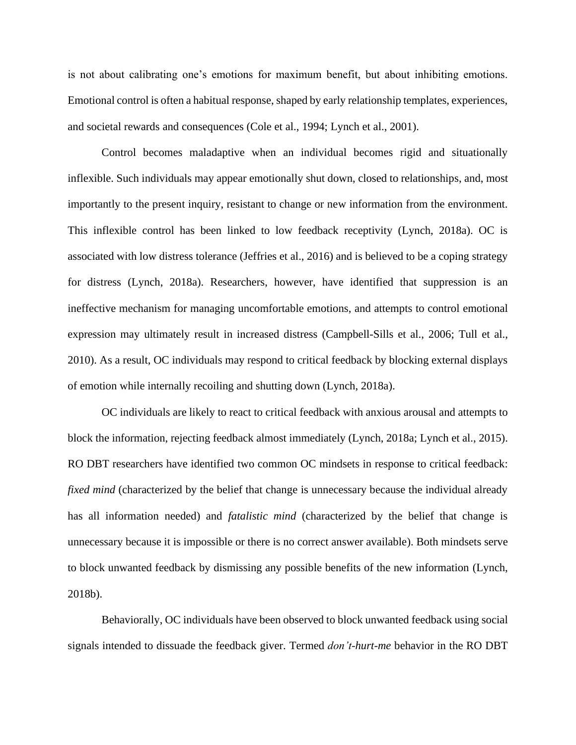is not about calibrating one's emotions for maximum benefit, but about inhibiting emotions. Emotional control is often a habitual response, shaped by early relationship templates, experiences, and societal rewards and consequences (Cole et al., 1994; Lynch et al., 2001).

Control becomes maladaptive when an individual becomes rigid and situationally inflexible. Such individuals may appear emotionally shut down, closed to relationships, and, most importantly to the present inquiry, resistant to change or new information from the environment. This inflexible control has been linked to low feedback receptivity (Lynch, 2018a). OC is associated with low distress tolerance (Jeffries et al., 2016) and is believed to be a coping strategy for distress (Lynch, 2018a). Researchers, however, have identified that suppression is an ineffective mechanism for managing uncomfortable emotions, and attempts to control emotional expression may ultimately result in increased distress (Campbell-Sills et al., 2006; Tull et al., 2010). As a result, OC individuals may respond to critical feedback by blocking external displays of emotion while internally recoiling and shutting down (Lynch, 2018a).

OC individuals are likely to react to critical feedback with anxious arousal and attempts to block the information, rejecting feedback almost immediately (Lynch, 2018a; Lynch et al., 2015). RO DBT researchers have identified two common OC mindsets in response to critical feedback: *fixed mind* (characterized by the belief that change is unnecessary because the individual already has all information needed) and *fatalistic mind* (characterized by the belief that change is unnecessary because it is impossible or there is no correct answer available). Both mindsets serve to block unwanted feedback by dismissing any possible benefits of the new information (Lynch, 2018b).

Behaviorally, OC individuals have been observed to block unwanted feedback using social signals intended to dissuade the feedback giver. Termed *don't-hurt-me* behavior in the RO DBT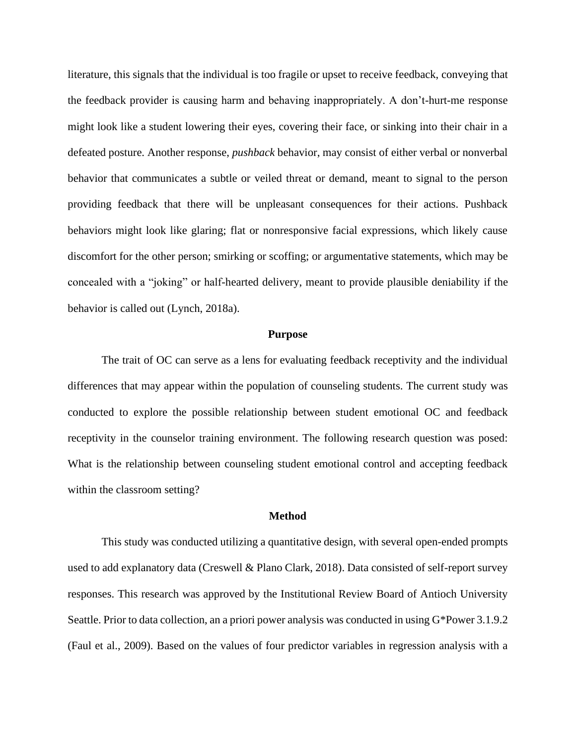literature, this signals that the individual is too fragile or upset to receive feedback, conveying that the feedback provider is causing harm and behaving inappropriately. A don't-hurt-me response might look like a student lowering their eyes, covering their face, or sinking into their chair in a defeated posture. Another response, *pushback* behavior, may consist of either verbal or nonverbal behavior that communicates a subtle or veiled threat or demand, meant to signal to the person providing feedback that there will be unpleasant consequences for their actions. Pushback behaviors might look like glaring; flat or nonresponsive facial expressions, which likely cause discomfort for the other person; smirking or scoffing; or argumentative statements, which may be concealed with a "joking" or half-hearted delivery, meant to provide plausible deniability if the behavior is called out (Lynch, 2018a).

#### **Purpose**

The trait of OC can serve as a lens for evaluating feedback receptivity and the individual differences that may appear within the population of counseling students. The current study was conducted to explore the possible relationship between student emotional OC and feedback receptivity in the counselor training environment. The following research question was posed: What is the relationship between counseling student emotional control and accepting feedback within the classroom setting?

#### **Method**

This study was conducted utilizing a quantitative design, with several open-ended prompts used to add explanatory data (Creswell & Plano Clark, 2018). Data consisted of self-report survey responses. This research was approved by the Institutional Review Board of Antioch University Seattle. Prior to data collection, an a priori power analysis was conducted in using G\*Power 3.1.9.2 (Faul et al., 2009). Based on the values of four predictor variables in regression analysis with a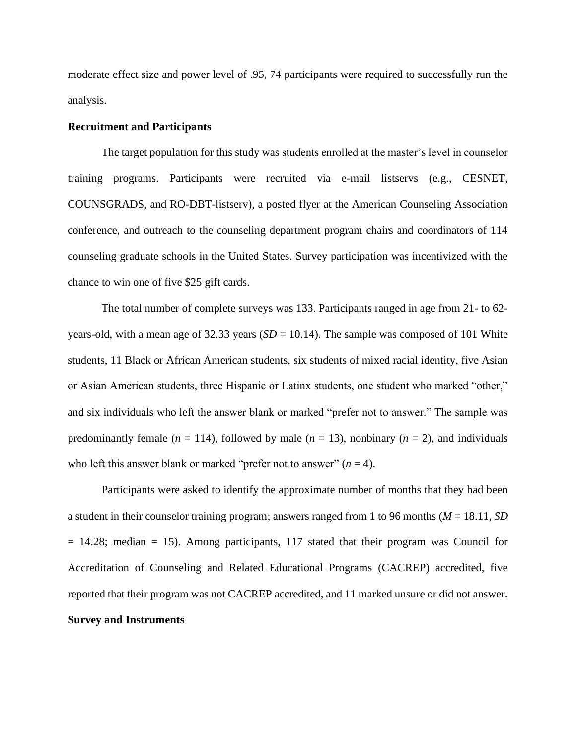moderate effect size and power level of .95, 74 participants were required to successfully run the analysis.

#### **Recruitment and Participants**

The target population for this study was students enrolled at the master's level in counselor training programs. Participants were recruited via e-mail listservs (e.g., CESNET, COUNSGRADS, and RO-DBT-listserv), a posted flyer at the American Counseling Association conference, and outreach to the counseling department program chairs and coordinators of 114 counseling graduate schools in the United States. Survey participation was incentivized with the chance to win one of five \$25 gift cards.

The total number of complete surveys was 133. Participants ranged in age from 21- to 62 years-old, with a mean age of  $32.33$  years (*SD* = 10.14). The sample was composed of 101 White students, 11 Black or African American students, six students of mixed racial identity, five Asian or Asian American students, three Hispanic or Latinx students, one student who marked "other," and six individuals who left the answer blank or marked "prefer not to answer." The sample was predominantly female ( $n = 114$ ), followed by male ( $n = 13$ ), nonbinary ( $n = 2$ ), and individuals who left this answer blank or marked "prefer not to answer"  $(n = 4)$ .

Participants were asked to identify the approximate number of months that they had been a student in their counselor training program; answers ranged from 1 to 96 months (*M* = 18.11, *SD*  = 14.28; median = 15). Among participants, 117 stated that their program was Council for Accreditation of Counseling and Related Educational Programs (CACREP) accredited, five reported that their program was not CACREP accredited, and 11 marked unsure or did not answer. **Survey and Instruments**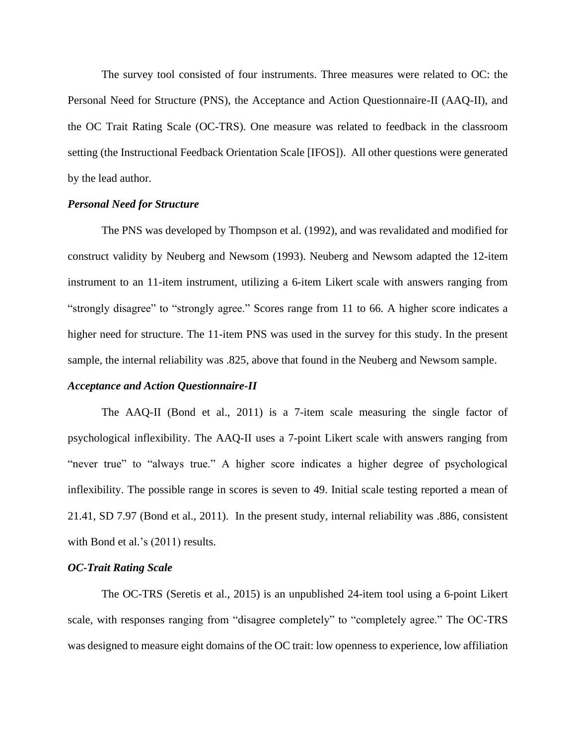The survey tool consisted of four instruments. Three measures were related to OC: the Personal Need for Structure (PNS), the Acceptance and Action Questionnaire-II (AAQ-II), and the OC Trait Rating Scale (OC-TRS). One measure was related to feedback in the classroom setting (the Instructional Feedback Orientation Scale [IFOS]). All other questions were generated by the lead author.

## *Personal Need for Structure*

The PNS was developed by Thompson et al. (1992), and was revalidated and modified for construct validity by Neuberg and Newsom (1993). Neuberg and Newsom adapted the 12-item instrument to an 11-item instrument, utilizing a 6-item Likert scale with answers ranging from "strongly disagree" to "strongly agree." Scores range from 11 to 66. A higher score indicates a higher need for structure. The 11-item PNS was used in the survey for this study. In the present sample, the internal reliability was .825, above that found in the Neuberg and Newsom sample.

#### *Acceptance and Action Questionnaire-II*

The AAQ-II (Bond et al., 2011) is a 7-item scale measuring the single factor of psychological inflexibility. The AAQ-II uses a 7-point Likert scale with answers ranging from "never true" to "always true." A higher score indicates a higher degree of psychological inflexibility. The possible range in scores is seven to 49. Initial scale testing reported a mean of 21.41, SD 7.97 (Bond et al., 2011). In the present study, internal reliability was .886, consistent with Bond et al.'s (2011) results.

#### *OC-Trait Rating Scale*

The OC-TRS (Seretis et al., 2015) is an unpublished 24-item tool using a 6-point Likert scale, with responses ranging from "disagree completely" to "completely agree." The OC-TRS was designed to measure eight domains of the OC trait: low openness to experience, low affiliation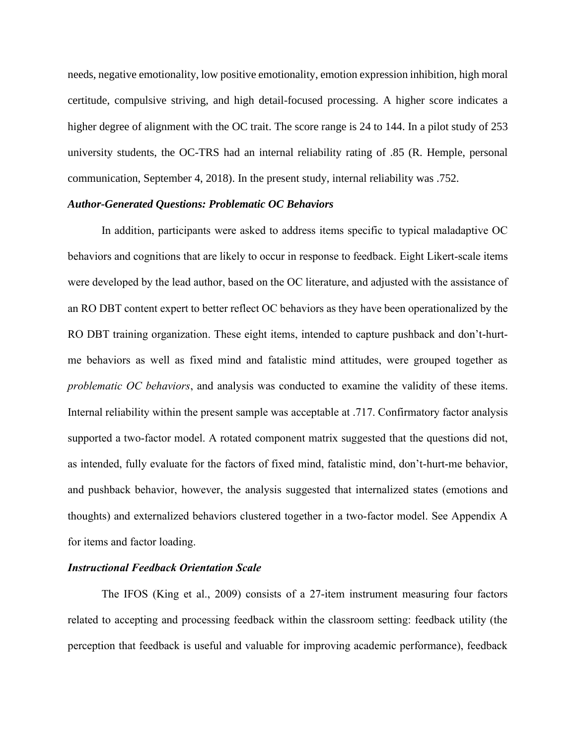needs, negative emotionality, low positive emotionality, emotion expression inhibition, high moral certitude, compulsive striving, and high detail-focused processing. A higher score indicates a higher degree of alignment with the OC trait. The score range is 24 to 144. In a pilot study of 253 university students, the OC-TRS had an internal reliability rating of .85 (R. Hemple, personal communication, September 4, 2018). In the present study, internal reliability was .752.

### *Author-Generated Questions: Problematic OC Behaviors*

In addition, participants were asked to address items specific to typical maladaptive OC behaviors and cognitions that are likely to occur in response to feedback. Eight Likert-scale items were developed by the lead author, based on the OC literature, and adjusted with the assistance of an RO DBT content expert to better reflect OC behaviors as they have been operationalized by the RO DBT training organization. These eight items, intended to capture pushback and don't-hurtme behaviors as well as fixed mind and fatalistic mind attitudes, were grouped together as *problematic OC behaviors*, and analysis was conducted to examine the validity of these items. Internal reliability within the present sample was acceptable at .717. Confirmatory factor analysis supported a two-factor model. A rotated component matrix suggested that the questions did not, as intended, fully evaluate for the factors of fixed mind, fatalistic mind, don't-hurt-me behavior, and pushback behavior, however, the analysis suggested that internalized states (emotions and thoughts) and externalized behaviors clustered together in a two-factor model. See Appendix A for items and factor loading.

# *Instructional Feedback Orientation Scale*

The IFOS (King et al., 2009) consists of a 27-item instrument measuring four factors related to accepting and processing feedback within the classroom setting: feedback utility (the perception that feedback is useful and valuable for improving academic performance), feedback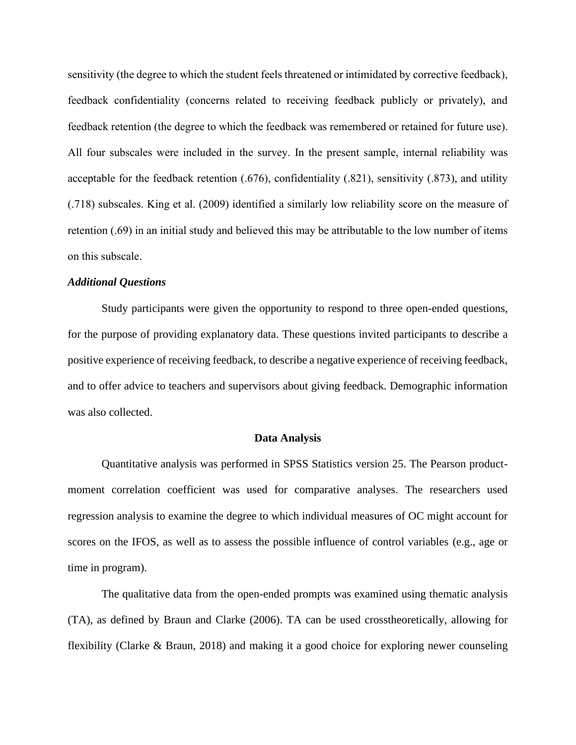sensitivity (the degree to which the student feels threatened or intimidated by corrective feedback), feedback confidentiality (concerns related to receiving feedback publicly or privately), and feedback retention (the degree to which the feedback was remembered or retained for future use). All four subscales were included in the survey. In the present sample, internal reliability was acceptable for the feedback retention (.676), confidentiality (.821), sensitivity (.873), and utility (.718) subscales. King et al. (2009) identified a similarly low reliability score on the measure of retention (.69) in an initial study and believed this may be attributable to the low number of items on this subscale.

# *Additional Questions*

Study participants were given the opportunity to respond to three open-ended questions, for the purpose of providing explanatory data. These questions invited participants to describe a positive experience of receiving feedback, to describe a negative experience of receiving feedback, and to offer advice to teachers and supervisors about giving feedback. Demographic information was also collected.

### **Data Analysis**

Quantitative analysis was performed in SPSS Statistics version 25. The Pearson productmoment correlation coefficient was used for comparative analyses. The researchers used regression analysis to examine the degree to which individual measures of OC might account for scores on the IFOS, as well as to assess the possible influence of control variables (e.g., age or time in program).

The qualitative data from the open-ended prompts was examined using thematic analysis (TA), as defined by Braun and Clarke (2006). TA can be used crosstheoretically, allowing for flexibility (Clarke & Braun, 2018) and making it a good choice for exploring newer counseling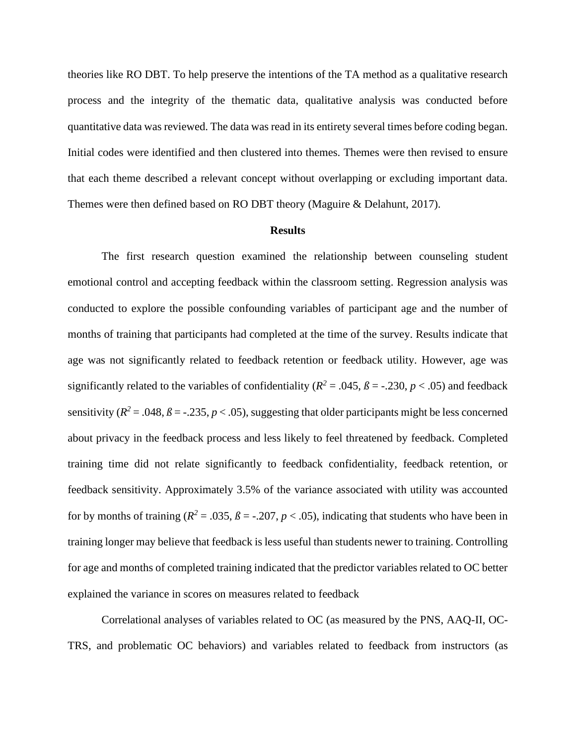theories like RO DBT. To help preserve the intentions of the TA method as a qualitative research process and the integrity of the thematic data, qualitative analysis was conducted before quantitative data was reviewed. The data was read in its entirety several times before coding began. Initial codes were identified and then clustered into themes. Themes were then revised to ensure that each theme described a relevant concept without overlapping or excluding important data. Themes were then defined based on RO DBT theory (Maguire & Delahunt, 2017).

#### **Results**

The first research question examined the relationship between counseling student emotional control and accepting feedback within the classroom setting. Regression analysis was conducted to explore the possible confounding variables of participant age and the number of months of training that participants had completed at the time of the survey. Results indicate that age was not significantly related to feedback retention or feedback utility. However, age was significantly related to the variables of confidentiality ( $R^2 = .045$ ,  $\beta = -.230$ ,  $p < .05$ ) and feedback sensitivity ( $R^2 = .048$ ,  $\beta = -.235$ ,  $p < .05$ ), suggesting that older participants might be less concerned about privacy in the feedback process and less likely to feel threatened by feedback. Completed training time did not relate significantly to feedback confidentiality, feedback retention, or feedback sensitivity. Approximately 3.5% of the variance associated with utility was accounted for by months of training ( $R^2 = .035$ ,  $\beta = -.207$ ,  $p < .05$ ), indicating that students who have been in training longer may believe that feedback is less useful than students newer to training. Controlling for age and months of completed training indicated that the predictor variables related to OC better explained the variance in scores on measures related to feedback

Correlational analyses of variables related to OC (as measured by the PNS, AAQ-II, OC-TRS, and problematic OC behaviors) and variables related to feedback from instructors (as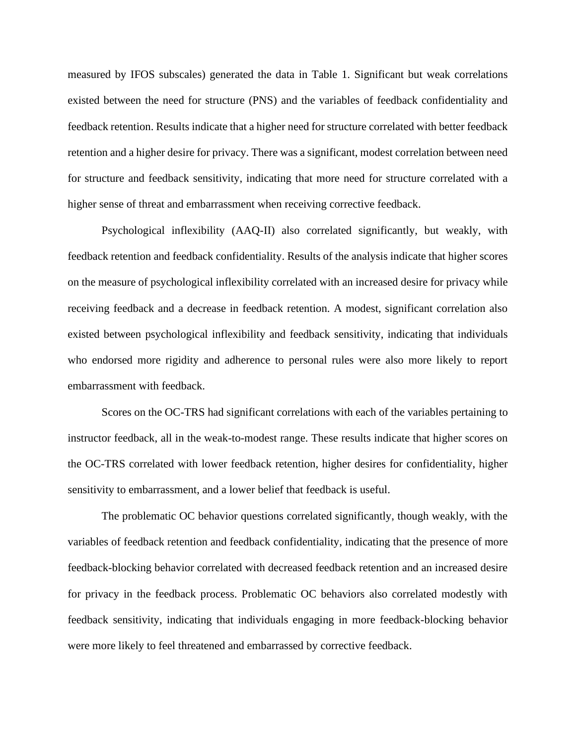measured by IFOS subscales) generated the data in Table 1. Significant but weak correlations existed between the need for structure (PNS) and the variables of feedback confidentiality and feedback retention. Results indicate that a higher need for structure correlated with better feedback retention and a higher desire for privacy. There was a significant, modest correlation between need for structure and feedback sensitivity, indicating that more need for structure correlated with a higher sense of threat and embarrassment when receiving corrective feedback.

Psychological inflexibility (AAQ-II) also correlated significantly, but weakly, with feedback retention and feedback confidentiality. Results of the analysis indicate that higher scores on the measure of psychological inflexibility correlated with an increased desire for privacy while receiving feedback and a decrease in feedback retention. A modest, significant correlation also existed between psychological inflexibility and feedback sensitivity, indicating that individuals who endorsed more rigidity and adherence to personal rules were also more likely to report embarrassment with feedback.

Scores on the OC-TRS had significant correlations with each of the variables pertaining to instructor feedback, all in the weak-to-modest range. These results indicate that higher scores on the OC-TRS correlated with lower feedback retention, higher desires for confidentiality, higher sensitivity to embarrassment, and a lower belief that feedback is useful.

The problematic OC behavior questions correlated significantly, though weakly, with the variables of feedback retention and feedback confidentiality, indicating that the presence of more feedback-blocking behavior correlated with decreased feedback retention and an increased desire for privacy in the feedback process. Problematic OC behaviors also correlated modestly with feedback sensitivity, indicating that individuals engaging in more feedback-blocking behavior were more likely to feel threatened and embarrassed by corrective feedback.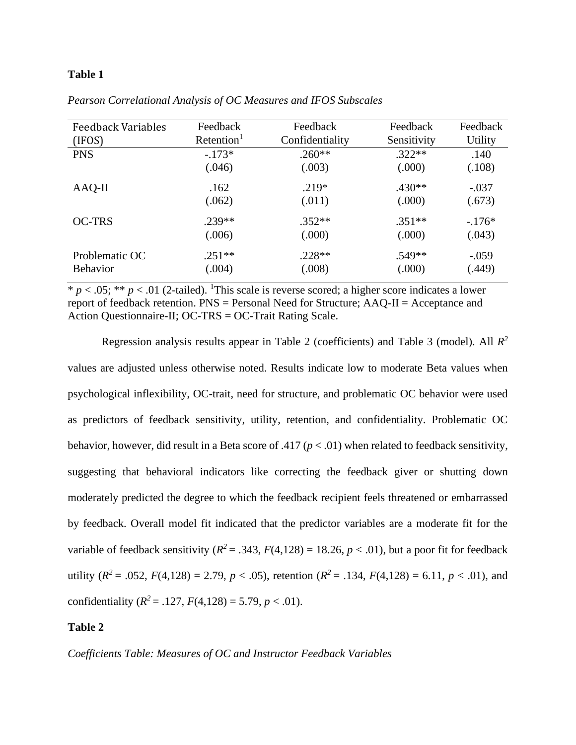## **Table 1**

| <b>Feedback Variables</b> | Feedback               | Feedback        | Feedback    | Feedback       |
|---------------------------|------------------------|-----------------|-------------|----------------|
| (IFOS)                    | Retention <sup>1</sup> | Confidentiality | Sensitivity | <b>Utility</b> |
| <b>PNS</b>                | $-.173*$               | $.260**$        | $.322**$    | .140           |
|                           | (.046)                 | (.003)          | (.000)      | (.108)         |
| $AAQ-II$                  | .162                   | $.219*$         | $.430**$    | $-.037$        |
|                           | (.062)                 | (.011)          | (.000)      | (.673)         |
| <b>OC-TRS</b>             | $.239**$               | $.352**$        | $.351**$    | $-176*$        |
|                           | (.006)                 | (.000)          | (.000)      | (.043)         |
| Problematic OC            | $.251**$               | $.228**$        | .549**      | $-.059$        |
| <b>Behavior</b>           | (.004)                 | (.008)          | (.000)      | (.449)         |

*Pearson Correlational Analysis of OC Measures and IFOS Subscales*

 $* p < .05; ** p < .01$  (2-tailed). <sup>1</sup>This scale is reverse scored; a higher score indicates a lower report of feedback retention. PNS = Personal Need for Structure; AAQ-II = Acceptance and Action Questionnaire-II; OC-TRS = OC-Trait Rating Scale.

Regression analysis results appear in Table 2 (coefficients) and Table 3 (model). All *R 2*  values are adjusted unless otherwise noted. Results indicate low to moderate Beta values when psychological inflexibility, OC-trait, need for structure, and problematic OC behavior were used as predictors of feedback sensitivity, utility, retention, and confidentiality. Problematic OC behavior, however, did result in a Beta score of .417 ( $p < .01$ ) when related to feedback sensitivity, suggesting that behavioral indicators like correcting the feedback giver or shutting down moderately predicted the degree to which the feedback recipient feels threatened or embarrassed by feedback. Overall model fit indicated that the predictor variables are a moderate fit for the variable of feedback sensitivity  $(R^2 = .343, F(4,128) = 18.26, p < .01)$ , but a poor fit for feedback utility  $(R^2 = .052, F(4,128) = 2.79, p < .05)$ , retention  $(R^2 = .134, F(4,128) = 6.11, p < .01)$ , and confidentiality  $(R^2 = .127, F(4,128) = 5.79, p < .01)$ .

# **Table 2**

*Coefficients Table: Measures of OC and Instructor Feedback Variables*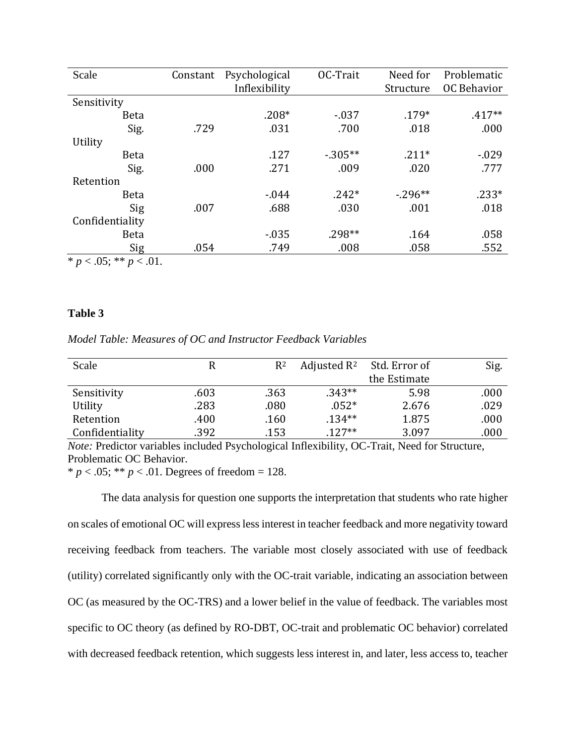| Scale                                                    | Constant | Psychological | OC-Trait   | Need for   | Problematic        |
|----------------------------------------------------------|----------|---------------|------------|------------|--------------------|
|                                                          |          | Inflexibility |            | Structure  | <b>OC Behavior</b> |
| Sensitivity                                              |          |               |            |            |                    |
| <b>Beta</b>                                              |          | $.208*$       | $-0.037$   | $.179*$    | $.417**$           |
| Sig.                                                     | .729     | .031          | .700       | .018       | .000               |
| Utility                                                  |          |               |            |            |                    |
| <b>Beta</b>                                              |          | .127          | $-0.305**$ | $.211*$    | $-0.029$           |
| Sig.                                                     | .000     | .271          | .009       | .020       | .777               |
| Retention                                                |          |               |            |            |                    |
| <b>Beta</b>                                              |          | $-0.044$      | $.242*$    | $-0.296**$ | $.233*$            |
| Sig                                                      | .007     | .688          | .030       | .001       | .018               |
| Confidentiality                                          |          |               |            |            |                    |
| <b>Beta</b>                                              |          | $-0.035$      | $.298**$   | .164       | .058               |
| Sig                                                      | .054     | .749          | .008       | .058       | .552               |
| $\mathbf{d}$<br>$\Lambda$ $\sim$ $\Lambda$<br>$\sim$ 0.1 |          |               |            |            |                    |

\*  $p < .05$ ; \*\*  $p < .01$ .

# **Table 3**

*Model Table: Measures of OC and Instructor Feedback Variables*

| Scale           | R    | $R^2$ | Adjusted $R^2$ | Std. Error of | Sig. |
|-----------------|------|-------|----------------|---------------|------|
|                 |      |       |                | the Estimate  |      |
| Sensitivity     | .603 | .363  | $.343**$       | 5.98          | .000 |
| Utility         | .283 | .080  | $.052*$        | 2.676         | .029 |
| Retention       | .400 | .160  | $.134**$       | 1.875         | .000 |
| Confidentiality | .392 | .153  | $.127**$       | 3.097         | .000 |

*Note:* Predictor variables included Psychological Inflexibility, OC-Trait, Need for Structure, Problematic OC Behavior.

\*  $p < .05$ ; \*\*  $p < .01$ . Degrees of freedom = 128.

The data analysis for question one supports the interpretation that students who rate higher on scales of emotional OC will express less interest in teacher feedback and more negativity toward receiving feedback from teachers. The variable most closely associated with use of feedback (utility) correlated significantly only with the OC-trait variable, indicating an association between OC (as measured by the OC-TRS) and a lower belief in the value of feedback. The variables most specific to OC theory (as defined by RO-DBT, OC-trait and problematic OC behavior) correlated with decreased feedback retention, which suggests less interest in, and later, less access to, teacher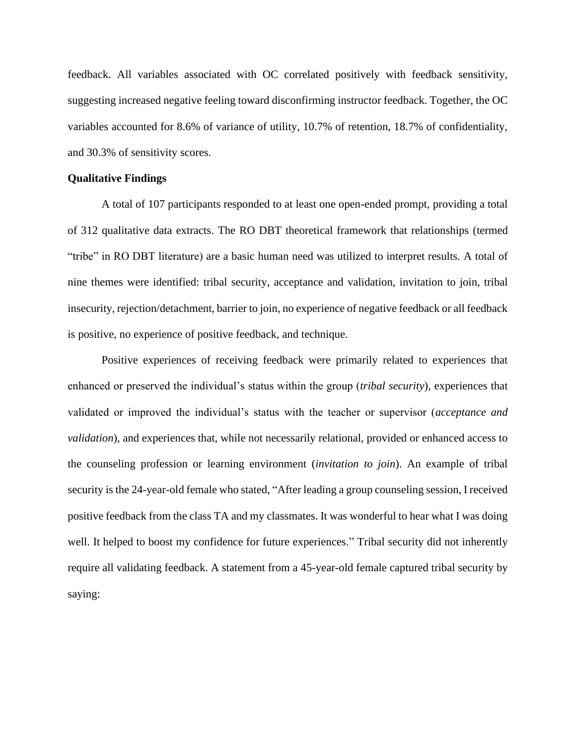feedback. All variables associated with OC correlated positively with feedback sensitivity, suggesting increased negative feeling toward disconfirming instructor feedback. Together, the OC variables accounted for 8.6% of variance of utility, 10.7% of retention, 18.7% of confidentiality, and 30.3% of sensitivity scores.

## **Qualitative Findings**

A total of 107 participants responded to at least one open-ended prompt, providing a total of 312 qualitative data extracts. The RO DBT theoretical framework that relationships (termed "tribe" in RO DBT literature) are a basic human need was utilized to interpret results. A total of nine themes were identified: tribal security, acceptance and validation, invitation to join, tribal insecurity, rejection/detachment, barrier to join, no experience of negative feedback or all feedback is positive, no experience of positive feedback, and technique.

Positive experiences of receiving feedback were primarily related to experiences that enhanced or preserved the individual's status within the group (*tribal security*), experiences that validated or improved the individual's status with the teacher or supervisor (*acceptance and validation*), and experiences that, while not necessarily relational, provided or enhanced access to the counseling profession or learning environment (*invitation to join*). An example of tribal security is the 24-year-old female who stated, "After leading a group counseling session, I received positive feedback from the class TA and my classmates. It was wonderful to hear what I was doing well. It helped to boost my confidence for future experiences." Tribal security did not inherently require all validating feedback. A statement from a 45-year-old female captured tribal security by saying: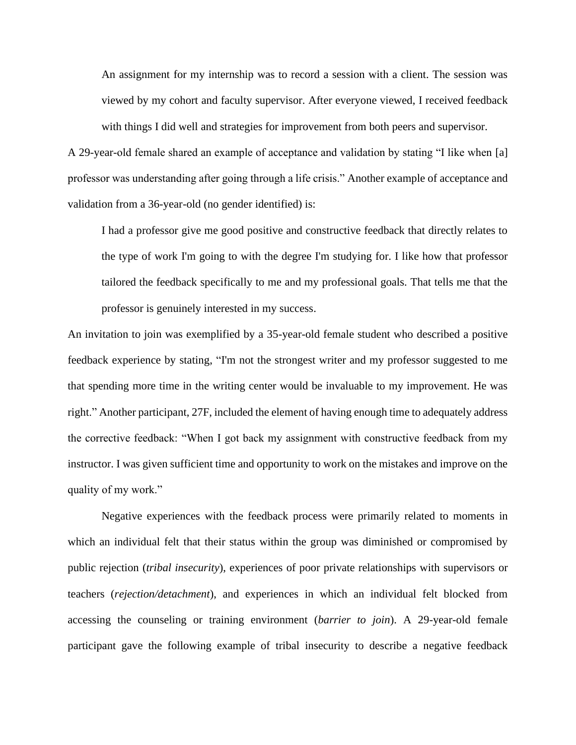An assignment for my internship was to record a session with a client. The session was viewed by my cohort and faculty supervisor. After everyone viewed, I received feedback with things I did well and strategies for improvement from both peers and supervisor.

A 29-year-old female shared an example of acceptance and validation by stating "I like when [a] professor was understanding after going through a life crisis." Another example of acceptance and validation from a 36-year-old (no gender identified) is:

I had a professor give me good positive and constructive feedback that directly relates to the type of work I'm going to with the degree I'm studying for. I like how that professor tailored the feedback specifically to me and my professional goals. That tells me that the professor is genuinely interested in my success.

An invitation to join was exemplified by a 35-year-old female student who described a positive feedback experience by stating, "I'm not the strongest writer and my professor suggested to me that spending more time in the writing center would be invaluable to my improvement. He was right." Another participant, 27F, included the element of having enough time to adequately address the corrective feedback: "When I got back my assignment with constructive feedback from my instructor. I was given sufficient time and opportunity to work on the mistakes and improve on the quality of my work."

Negative experiences with the feedback process were primarily related to moments in which an individual felt that their status within the group was diminished or compromised by public rejection (*tribal insecurity*), experiences of poor private relationships with supervisors or teachers (*rejection/detachment*), and experiences in which an individual felt blocked from accessing the counseling or training environment (*barrier to join*). A 29-year-old female participant gave the following example of tribal insecurity to describe a negative feedback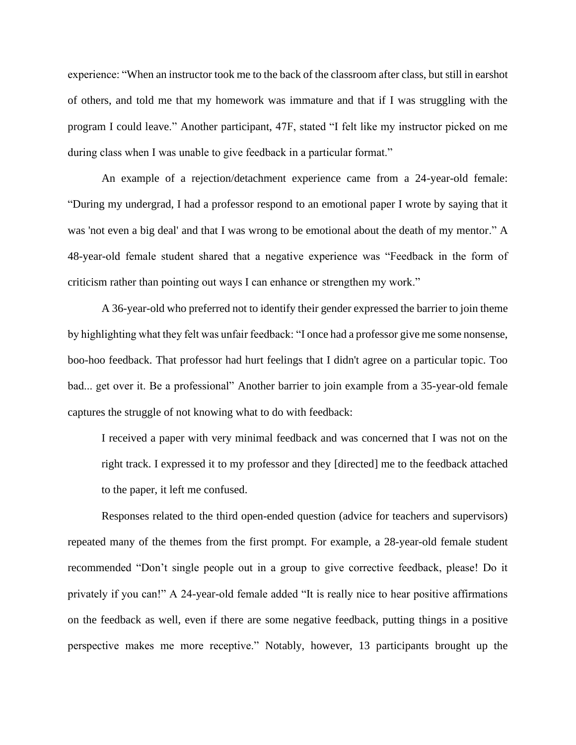experience: "When an instructor took me to the back of the classroom after class, but still in earshot of others, and told me that my homework was immature and that if I was struggling with the program I could leave." Another participant, 47F, stated "I felt like my instructor picked on me during class when I was unable to give feedback in a particular format."

An example of a rejection/detachment experience came from a 24-year-old female: "During my undergrad, I had a professor respond to an emotional paper I wrote by saying that it was 'not even a big deal' and that I was wrong to be emotional about the death of my mentor." A 48-year-old female student shared that a negative experience was "Feedback in the form of criticism rather than pointing out ways I can enhance or strengthen my work."

A 36-year-old who preferred not to identify their gender expressed the barrier to join theme by highlighting what they felt was unfair feedback: "I once had a professor give me some nonsense, boo-hoo feedback. That professor had hurt feelings that I didn't agree on a particular topic. Too bad... get over it. Be a professional" Another barrier to join example from a 35-year-old female captures the struggle of not knowing what to do with feedback:

I received a paper with very minimal feedback and was concerned that I was not on the right track. I expressed it to my professor and they [directed] me to the feedback attached to the paper, it left me confused.

Responses related to the third open-ended question (advice for teachers and supervisors) repeated many of the themes from the first prompt. For example, a 28-year-old female student recommended "Don't single people out in a group to give corrective feedback, please! Do it privately if you can!" A 24-year-old female added "It is really nice to hear positive affirmations on the feedback as well, even if there are some negative feedback, putting things in a positive perspective makes me more receptive." Notably, however, 13 participants brought up the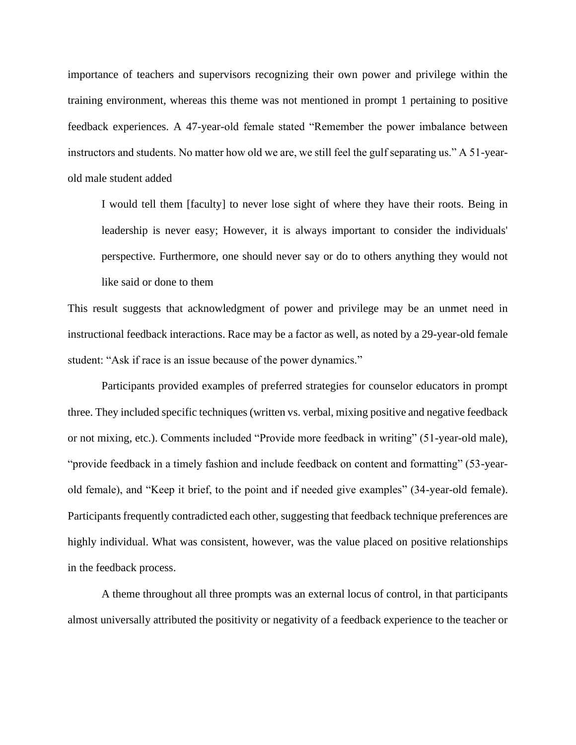importance of teachers and supervisors recognizing their own power and privilege within the training environment, whereas this theme was not mentioned in prompt 1 pertaining to positive feedback experiences. A 47-year-old female stated "Remember the power imbalance between instructors and students. No matter how old we are, we still feel the gulf separating us." A 51-yearold male student added

I would tell them [faculty] to never lose sight of where they have their roots. Being in leadership is never easy; However, it is always important to consider the individuals' perspective. Furthermore, one should never say or do to others anything they would not like said or done to them

This result suggests that acknowledgment of power and privilege may be an unmet need in instructional feedback interactions. Race may be a factor as well, as noted by a 29-year-old female student: "Ask if race is an issue because of the power dynamics."

Participants provided examples of preferred strategies for counselor educators in prompt three. They included specific techniques (written vs. verbal, mixing positive and negative feedback or not mixing, etc.). Comments included "Provide more feedback in writing" (51-year-old male), "provide feedback in a timely fashion and include feedback on content and formatting" (53-yearold female), and "Keep it brief, to the point and if needed give examples" (34-year-old female). Participants frequently contradicted each other, suggesting that feedback technique preferences are highly individual. What was consistent, however, was the value placed on positive relationships in the feedback process.

A theme throughout all three prompts was an external locus of control, in that participants almost universally attributed the positivity or negativity of a feedback experience to the teacher or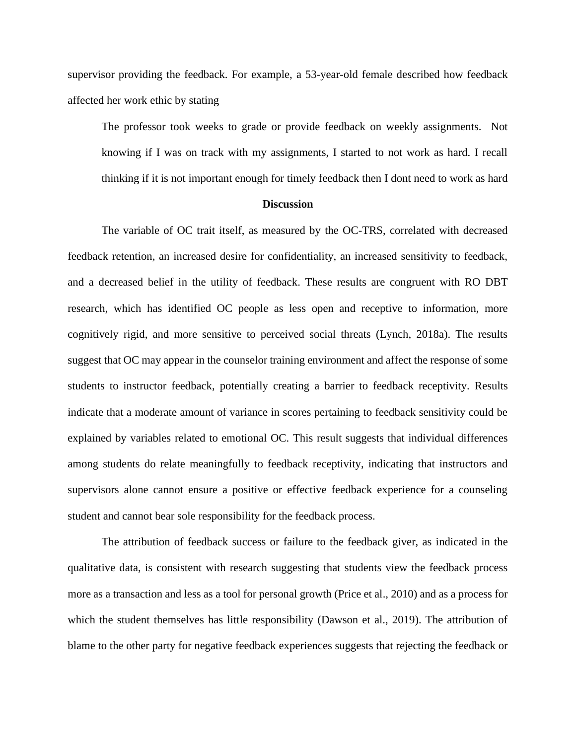supervisor providing the feedback. For example, a 53-year-old female described how feedback affected her work ethic by stating

The professor took weeks to grade or provide feedback on weekly assignments. Not knowing if I was on track with my assignments, I started to not work as hard. I recall thinking if it is not important enough for timely feedback then I dont need to work as hard

#### **Discussion**

The variable of OC trait itself, as measured by the OC-TRS, correlated with decreased feedback retention, an increased desire for confidentiality, an increased sensitivity to feedback, and a decreased belief in the utility of feedback. These results are congruent with RO DBT research, which has identified OC people as less open and receptive to information, more cognitively rigid, and more sensitive to perceived social threats (Lynch, 2018a). The results suggest that OC may appear in the counselor training environment and affect the response of some students to instructor feedback, potentially creating a barrier to feedback receptivity. Results indicate that a moderate amount of variance in scores pertaining to feedback sensitivity could be explained by variables related to emotional OC. This result suggests that individual differences among students do relate meaningfully to feedback receptivity, indicating that instructors and supervisors alone cannot ensure a positive or effective feedback experience for a counseling student and cannot bear sole responsibility for the feedback process.

The attribution of feedback success or failure to the feedback giver, as indicated in the qualitative data, is consistent with research suggesting that students view the feedback process more as a transaction and less as a tool for personal growth (Price et al., 2010) and as a process for which the student themselves has little responsibility (Dawson et al., 2019). The attribution of blame to the other party for negative feedback experiences suggests that rejecting the feedback or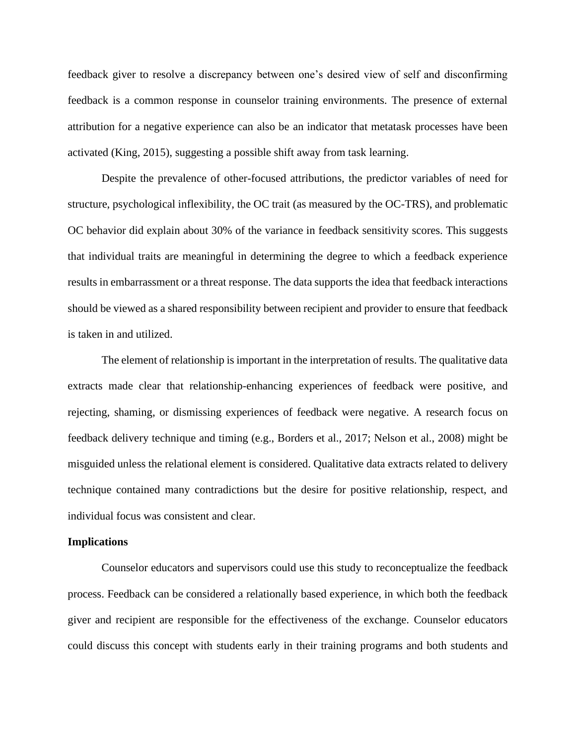feedback giver to resolve a discrepancy between one's desired view of self and disconfirming feedback is a common response in counselor training environments. The presence of external attribution for a negative experience can also be an indicator that metatask processes have been activated (King, 2015), suggesting a possible shift away from task learning.

Despite the prevalence of other-focused attributions, the predictor variables of need for structure, psychological inflexibility, the OC trait (as measured by the OC-TRS), and problematic OC behavior did explain about 30% of the variance in feedback sensitivity scores. This suggests that individual traits are meaningful in determining the degree to which a feedback experience results in embarrassment or a threat response. The data supports the idea that feedback interactions should be viewed as a shared responsibility between recipient and provider to ensure that feedback is taken in and utilized.

The element of relationship is important in the interpretation of results. The qualitative data extracts made clear that relationship-enhancing experiences of feedback were positive, and rejecting, shaming, or dismissing experiences of feedback were negative. A research focus on feedback delivery technique and timing (e.g., Borders et al., 2017; Nelson et al., 2008) might be misguided unless the relational element is considered. Qualitative data extracts related to delivery technique contained many contradictions but the desire for positive relationship, respect, and individual focus was consistent and clear.

#### **Implications**

Counselor educators and supervisors could use this study to reconceptualize the feedback process. Feedback can be considered a relationally based experience, in which both the feedback giver and recipient are responsible for the effectiveness of the exchange. Counselor educators could discuss this concept with students early in their training programs and both students and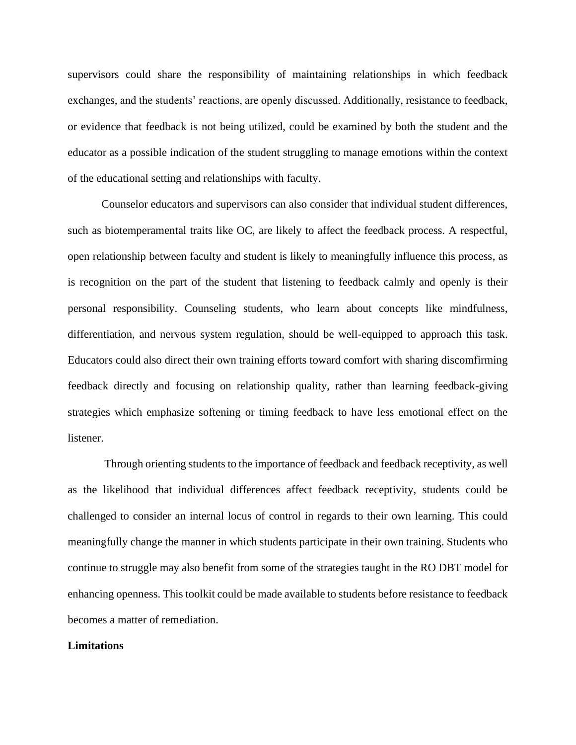supervisors could share the responsibility of maintaining relationships in which feedback exchanges, and the students' reactions, are openly discussed. Additionally, resistance to feedback, or evidence that feedback is not being utilized, could be examined by both the student and the educator as a possible indication of the student struggling to manage emotions within the context of the educational setting and relationships with faculty.

Counselor educators and supervisors can also consider that individual student differences, such as biotemperamental traits like OC, are likely to affect the feedback process. A respectful, open relationship between faculty and student is likely to meaningfully influence this process, as is recognition on the part of the student that listening to feedback calmly and openly is their personal responsibility. Counseling students, who learn about concepts like mindfulness, differentiation, and nervous system regulation, should be well-equipped to approach this task. Educators could also direct their own training efforts toward comfort with sharing discomfirming feedback directly and focusing on relationship quality, rather than learning feedback-giving strategies which emphasize softening or timing feedback to have less emotional effect on the listener.

Through orienting students to the importance of feedback and feedback receptivity, as well as the likelihood that individual differences affect feedback receptivity, students could be challenged to consider an internal locus of control in regards to their own learning. This could meaningfully change the manner in which students participate in their own training. Students who continue to struggle may also benefit from some of the strategies taught in the RO DBT model for enhancing openness. This toolkit could be made available to students before resistance to feedback becomes a matter of remediation.

#### **Limitations**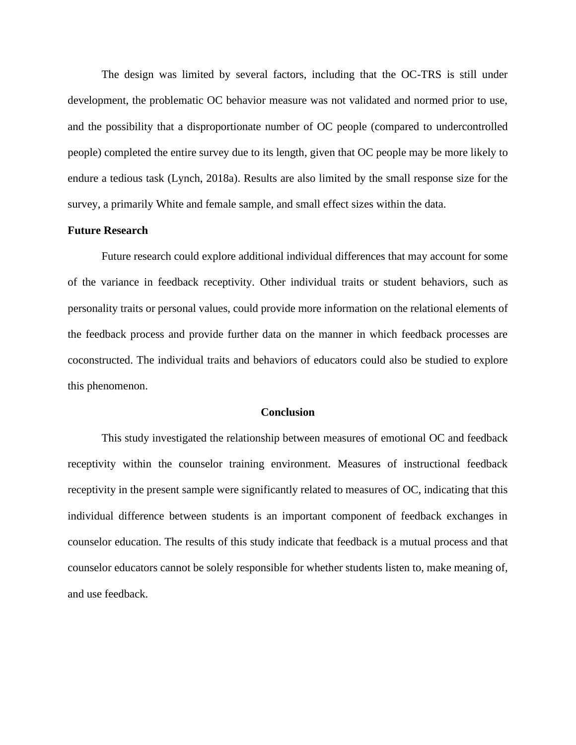The design was limited by several factors, including that the OC-TRS is still under development, the problematic OC behavior measure was not validated and normed prior to use, and the possibility that a disproportionate number of OC people (compared to undercontrolled people) completed the entire survey due to its length, given that OC people may be more likely to endure a tedious task (Lynch, 2018a). Results are also limited by the small response size for the survey, a primarily White and female sample, and small effect sizes within the data.

#### **Future Research**

Future research could explore additional individual differences that may account for some of the variance in feedback receptivity. Other individual traits or student behaviors, such as personality traits or personal values, could provide more information on the relational elements of the feedback process and provide further data on the manner in which feedback processes are coconstructed. The individual traits and behaviors of educators could also be studied to explore this phenomenon.

#### **Conclusion**

This study investigated the relationship between measures of emotional OC and feedback receptivity within the counselor training environment. Measures of instructional feedback receptivity in the present sample were significantly related to measures of OC, indicating that this individual difference between students is an important component of feedback exchanges in counselor education. The results of this study indicate that feedback is a mutual process and that counselor educators cannot be solely responsible for whether students listen to, make meaning of, and use feedback.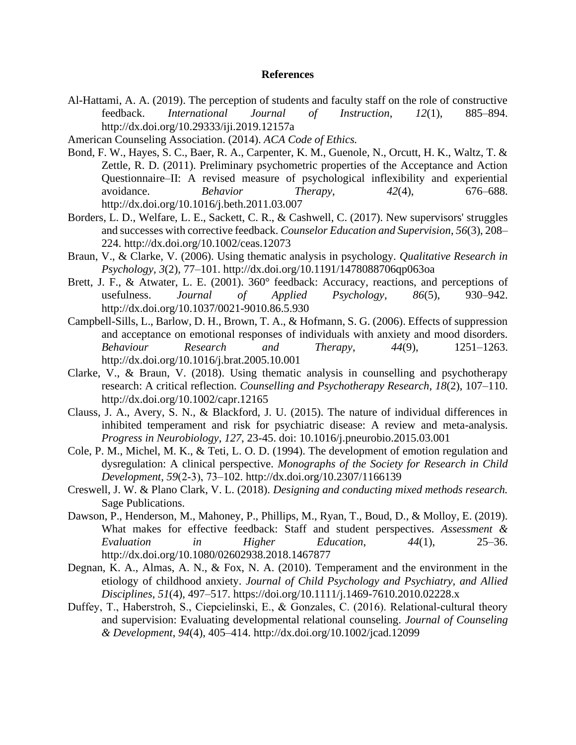## **References**

- Al-Hattami, A. A. (2019). The perception of students and faculty staff on the role of constructive feedback. *International Journal of Instruction*, *12*(1), 885–894. http://dx.doi.org/10.29333/iji.2019.12157a
- American Counseling Association. (2014). *ACA Code of Ethics.*
- Bond, F. W., Hayes, S. C., Baer, R. A., Carpenter, K. M., Guenole, N., Orcutt, H. K., Waltz, T. & Zettle, R. D. (2011). Preliminary psychometric properties of the Acceptance and Action Questionnaire–II: A revised measure of psychological inflexibility and experiential avoidance. *Behavior Therapy*, *42*(4), 676–688. <http://dx.doi.org/10.1016/j.beth.2011.03.007>
- Borders, L. D., Welfare, L. E., Sackett, C. R., & Cashwell, C. (2017). New supervisors' struggles and successes with corrective feedback. *Counselor Education and Supervision*, *56*(3), 208– 224. http://dx.doi.org/10.1002/ceas.12073
- Braun, V., & Clarke, V. (2006). Using thematic analysis in psychology. *Qualitative Research in Psychology, 3*(2), 77–101. http://dx.doi.org/10.1191/1478088706qp063oa
- Brett, J. F., & Atwater, L. E. (2001). 360° feedback: Accuracy, reactions, and perceptions of usefulness. *Journal of Applied Psychology*, *86*(5), 930–942. http://dx.doi.org/10.1037/0021-9010.86.5.930
- Campbell-Sills, L., Barlow, D. H., Brown, T. A., & Hofmann, S. G. (2006). Effects of suppression and acceptance on emotional responses of individuals with anxiety and mood disorders. *Behaviour Research and Therapy*, *44*(9), 1251–1263. http://dx.doi.org/10.1016/j.brat.2005.10.001
- Clarke, V., & Braun, V. (2018). Using thematic analysis in counselling and psychotherapy research: A critical reflection. *Counselling and Psychotherapy Research*, *18*(2), 107–110. http://dx.doi.org/10.1002/capr.12165
- Clauss, J. A., Avery, S. N., & Blackford, J. U. (2015). The nature of individual differences in inhibited temperament and risk for psychiatric disease: A review and meta-analysis. *Progress in Neurobiology*, *127*, 23-45. doi: 10.1016/j.pneurobio.2015.03.001
- Cole, P. M., Michel, M. K., & Teti, L. O. D. (1994). The development of emotion regulation and dysregulation: A clinical perspective. *Monographs of the Society for Research in Child Development*, *59*(2‐3), 73–102. http://dx.doi.org/10.2307/1166139
- Creswell, J. W. & Plano Clark, V. L. (2018). *Designing and conducting mixed methods research.* Sage Publications.
- Dawson, P., Henderson, M., Mahoney, P., Phillips, M., Ryan, T., Boud, D., & Molloy, E. (2019). What makes for effective feedback: Staff and student perspectives. *Assessment & Evaluation in Higher Education*, *44*(1), 25–36. http://dx.doi.org/10.1080/02602938.2018.1467877
- Degnan, K. A., Almas, A. N., & Fox, N. A. (2010). Temperament and the environment in the etiology of childhood anxiety. *Journal of Child Psychology and Psychiatry, and Allied Disciplines*, *51*(4), 497–517. https://doi.org/10.1111/j.1469-7610.2010.02228.x
- Duffey, T., Haberstroh, S., Ciepcielinski, E., & Gonzales, C. (2016). Relational-cultural theory and supervision: Evaluating developmental relational counseling. *Journal of Counseling & Development*, *94*(4), 405–414. http://dx.doi.org/10.1002/jcad.12099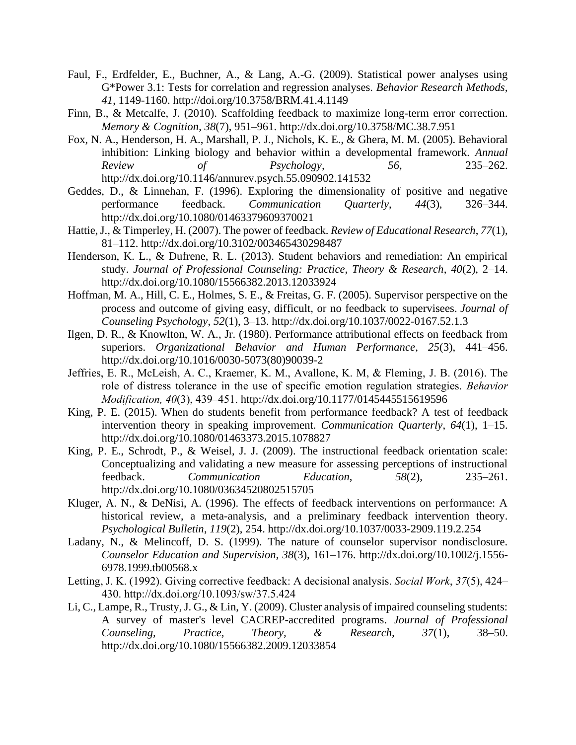- Faul, F., Erdfelder, E., Buchner, A., & Lang, A.-G. (2009). Statistical power analyses using G\*Power 3.1: Tests for correlation and regression analyses. *Behavior Research Methods, 41*, 1149-1160. http://doi.org/10.3758/BRM.41.4.1149
- Finn, B., & Metcalfe, J. (2010). Scaffolding feedback to maximize long-term error correction. *Memory & Cognition*, *38*(7), 951–961. http://dx.doi.org/10.3758/MC.38.7.951
- Fox, N. A., Henderson, H. A., Marshall, P. J., Nichols, K. E., & Ghera, M. M. (2005). Behavioral inhibition: Linking biology and behavior within a developmental framework. *Annual Review of Psychology, 56,* 235–262. http://dx.doi.org/10.1146/annurev.psych.55.090902.141532
- Geddes, D., & Linnehan, F. (1996). Exploring the dimensionality of positive and negative performance feedback. *Communication Quarterly*, *44*(3), 326–344. http://dx.doi.org/10.1080/01463379609370021
- Hattie, J., & Timperley, H. (2007). The power of feedback. *Review of Educational Research*, *77*(1), 81–112. http://dx.doi.org/10.3102/003465430298487
- Henderson, K. L., & Dufrene, R. L. (2013). Student behaviors and remediation: An empirical study. *Journal of Professional Counseling: Practice, Theory & Research*, *40*(2), 2–14. http://dx.doi.org/10.1080/15566382.2013.12033924
- Hoffman, M. A., Hill, C. E., Holmes, S. E., & Freitas, G. F. (2005). Supervisor perspective on the process and outcome of giving easy, difficult, or no feedback to supervisees. *Journal of Counseling Psychology*, *52*(1), 3–13. http://dx.doi.org/10.1037/0022-0167.52.1.3
- Ilgen, D. R., & Knowlton, W. A., Jr. (1980). Performance attributional effects on feedback from superiors. *Organizational Behavior and Human Performance*, *25*(3), 441–456. http://dx.doi.org/10.1016/0030-5073(80)90039-2
- Jeffries, E. R., McLeish, A. C., Kraemer, K. M., Avallone, K. M, & Fleming, J. B. (2016). The role of distress tolerance in the use of specific emotion regulation strategies. *Behavior Modification, 40*(3), 439–451. http://dx.doi.org/10.1177/0145445515619596
- King, P. E. (2015). When do students benefit from performance feedback? A test of feedback intervention theory in speaking improvement. *Communication Quarterly*, *64*(1), 1–15. http://dx.doi.org/10.1080/01463373.2015.1078827
- King, P. E., Schrodt, P., & Weisel, J. J. (2009). The instructional feedback orientation scale: Conceptualizing and validating a new measure for assessing perceptions of instructional feedback. *Communication Education*, *58*(2), 235–261. http://dx.doi.org/10.1080/03634520802515705
- Kluger, A. N., & DeNisi, A. (1996). The effects of feedback interventions on performance: A historical review, a meta-analysis, and a preliminary feedback intervention theory. *Psychological Bulletin*, *119*(2), 254. http://dx.doi.org/10.1037/0033-2909.119.2.254
- Ladany, N., & Melincoff, D. S. (1999). The nature of counselor supervisor nondisclosure. *Counselor Education and Supervision, 38*(3), 161–176. http://dx.doi.org/10.1002/j.1556- 6978.1999.tb00568.x
- Letting, J. K. (1992). Giving corrective feedback: A decisional analysis. *Social Work*, *37*(5), 424– 430. http://dx.doi.org/10.1093/sw/37.5.424
- Li, C., Lampe, R., Trusty, J. G., & Lin, Y. (2009). Cluster analysis of impaired counseling students: A survey of master's level CACREP-accredited programs. *Journal of Professional Counseling, Practice, Theory, & Research, 37*(1), 38–50. http://dx.doi.org/10.1080/15566382.2009.12033854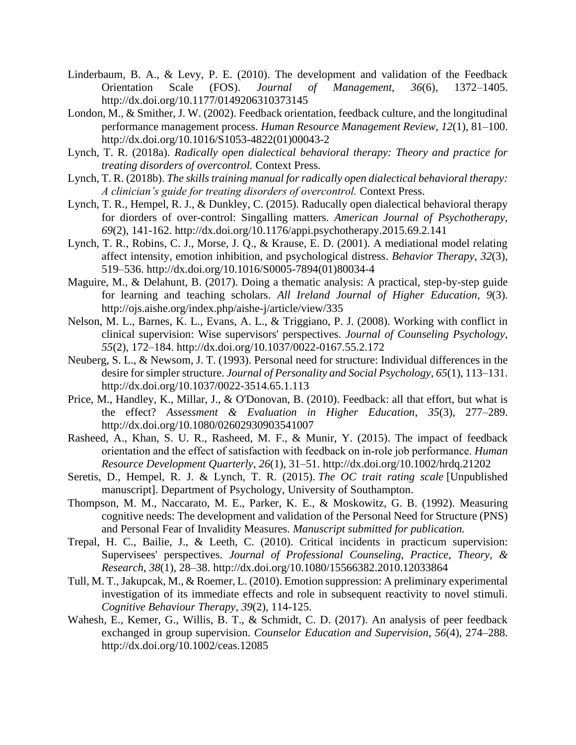- Linderbaum, B. A., & Levy, P. E. (2010). The development and validation of the Feedback Orientation Scale (FOS). *Journal of Management*, *36*(6), 1372–1405. http://dx.doi.org/10.1177/0149206310373145
- London, M., & Smither, J. W. (2002). Feedback orientation, feedback culture, and the longitudinal performance management process. *Human Resource Management Review*, *12*(1), 81–100. http://dx.doi.org/10.1016/S1053-4822(01)00043-2
- Lynch, T. R. (2018a). *Radically open dialectical behavioral therapy: Theory and practice for treating disorders of overcontrol.* Context Press.
- Lynch, T. R. (2018b). *The skills training manual for radically open dialectical behavioral therapy: A clinician's guide for treating disorders of overcontrol.* Context Press.
- Lynch, T. R., Hempel, R. J., & Dunkley, C. (2015). Raducally open dialectical behavioral therapy for diorders of over-control: Singalling matters. *American Journal of Psychotherapy, 69*(2), 141-162. http://dx.doi.org/10.1176/appi.psychotherapy.2015.69.2.141
- Lynch, T. R., Robins, C. J., Morse, J. Q., & Krause, E. D. (2001). A mediational model relating affect intensity, emotion inhibition, and psychological distress. *Behavior Therapy*, *32*(3), 519–536. http://dx.doi.org/10.1016/S0005-7894(01)80034-4
- Maguire, M., & Delahunt, B. (2017). Doing a thematic analysis: A practical, step-by-step guide for learning and teaching scholars. *All Ireland Journal of Higher Education*, *9*(3). http://ojs.aishe.org/index.php/aishe-j/article/view/335
- Nelson, M. L., Barnes, K. L., Evans, A. L., & Triggiano, P. J. (2008). Working with conflict in clinical supervision: Wise supervisors' perspectives. *Journal of Counseling Psychology*, *55*(2), 172–184. http://dx.doi.org/10.1037/0022-0167.55.2.172
- Neuberg, S. L., & Newsom, J. T. (1993). Personal need for structure: Individual differences in the desire for simpler structure. *Journal of Personality and Social Psychology*, *65*(1), 113–131. http://dx.doi.org/10.1037/0022-3514.65.1.113
- Price, M., Handley, K., Millar, J., & O'Donovan, B. (2010). Feedback: all that effort, but what is the effect? *Assessment & Evaluation in Higher Education*, *35*(3), 277–289. http://dx.doi.org/10.1080/02602930903541007
- Rasheed, A., Khan, S. U. R., Rasheed, M. F., & Munir, Y. (2015). The impact of feedback orientation and the effect of satisfaction with feedback on in‐role job performance. *Human Resource Development Quarterly*, *26*(1), 31–51. http://dx.doi.org/10.1002/hrdq.21202
- Seretis, D., Hempel, R. J. & Lynch, T. R. (2015). *The OC trait rating scale* [Unpublished manuscript]. Department of Psychology, University of Southampton.
- Thompson, M. M., Naccarato, M. E., Parker, K. E., & Moskowitz, G. B. (1992). Measuring cognitive needs: The development and validation of the Personal Need for Structure (PNS) and Personal Fear of Invalidity Measures. *Manuscript submitted for publication.*
- Trepal, H. C., Bailie, J., & Leeth, C. (2010). Critical incidents in practicum supervision: Supervisees' perspectives. *Journal of Professional Counseling, Practice, Theory, & Research*, *38*(1), 28–38. http://dx.doi.org/10.1080/15566382.2010.12033864
- Tull, M. T., Jakupcak, M., & Roemer, L. (2010). Emotion suppression: A preliminary experimental investigation of its immediate effects and role in subsequent reactivity to novel stimuli. *Cognitive Behaviour Therapy*, *39*(2), 114-125.
- Wahesh, E., Kemer, G., Willis, B. T., & Schmidt, C. D. (2017). An analysis of peer feedback exchanged in group supervision. *Counselor Education and Supervision*, *56*(4), 274–288. http://dx.doi.org/10.1002/ceas.12085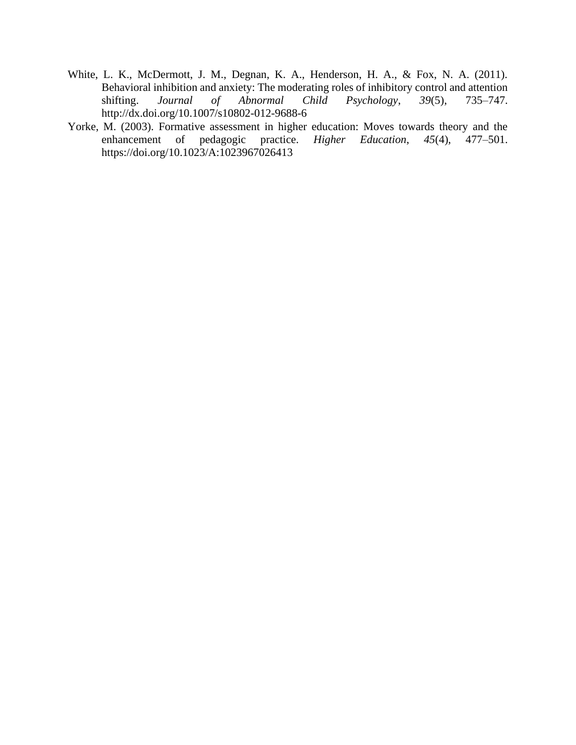- White, L. K., McDermott, J. M., Degnan, K. A., Henderson, H. A., & Fox, N. A. (2011). Behavioral inhibition and anxiety: The moderating roles of inhibitory control and attention shifting. Journal of Abnormal Child Psychology, 39(5), 735–747. shifting. *Journal of Abnormal Child Psychology*, *39*(5), 735–747. http://dx.doi.org/10.1007/s10802-012-9688-6
- Yorke, M. (2003). Formative assessment in higher education: Moves towards theory and the enhancement of pedagogic practice. *Higher Education*, 45(4), 477–501. enhancement of pedagogic practice. *Higher Education*, *45*(4), 477–501. https://doi.org/10.1023/A:1023967026413